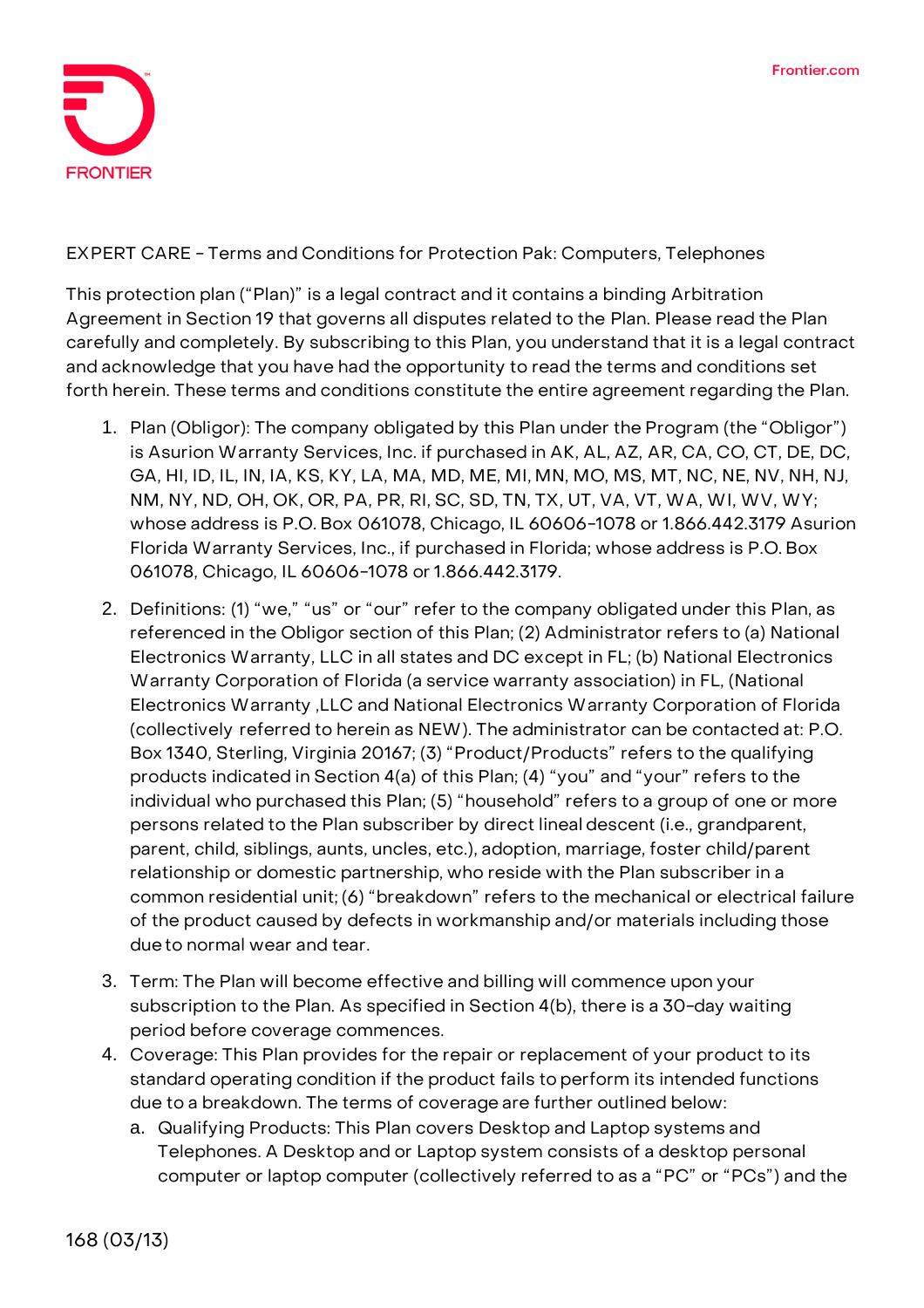

## **EXPERT CARE - Terms and Conditions for Protection Pak: Computers, Telephones**

This protection plan ("Plan)" is a legal contract and it contains a binding Arbitration Agreement in Section 19 that governs all disputes related to the Plan. Please read the Plan carefully and completely. By subscribing to this Plan, you understand that it is a legal contract and acknowledge that you have had the opportunity to read the terms and conditions set forth herein. These terms and conditions constitute the entire agreement regarding the Plan.

- 1. **Plan (Obligor):** The company obligated by this Plan under the Program (the "Obligor") is Asurion Warranty Services, Inc. if purchased in AK, AL, AZ, AR, CA, CO, CT, DE, DC, GA, HI, ID, IL, IN, IA, KS, KY, LA, MA, MD, ME, MI, MN, MO, MS, MT, NC, NE, NV, NH, NJ, NM, NY, ND, OH, OK, OR, PA, PR, RI, SC, SD, TN, TX, UT, VA, VT, WA, WI, WV, WY; whose address is P.O. Box 061078, Chicago, IL 60606-1078 or 1.866.442.3179 Asurion Florida Warranty Services, Inc., if purchased in Florida; whose address is P.O. Box 061078, Chicago, IL 60606-1078 or 1.866.442.3179.
- 2. **Definitions:** (1) "we," "us" or "our" refer to the company obligated under this Plan, as referenced in the Obligor section of this Plan; (2) Administrator refers to (a) National Electronics Warranty, LLC in all states and DC except in FL; (b) National Electronics Warranty Corporation of Florida (a service warranty association) in FL, (National Electronics Warranty ,LLC and National Electronics Warranty Corporation of Florida (collectively referred to herein as NEW). The administrator can be contacted at: P.O. Box 1340, Sterling, Virginia 20167; (3) "Product/Products" refers to the qualifying products indicated in Section 4(a) of this Plan; (4) "you" and "your" refers to the individual who purchased this Plan; (5) "household" refers to a group of one or more persons related to the Plan subscriber by direct lineal descent (i.e., grandparent, parent, child, siblings, aunts, uncles, etc.), adoption, marriage, foster child/parent relationship or domestic partnership, who reside with the Plan subscriber in a common residential unit; (6) "breakdown" refers to the mechanical or electrical failure of the product caused by defects in workmanship and/or materials including those dueto normal wear and tear.
- 3. **Term:** The Plan will become effective and billing will commence upon your subscription to the Plan. **As specified in Section 4(b), there is a 30-day waiting period before coverage commences.**
- 4. **Coverage:** This Plan provides for the repair or replacement of your product to its standard operating condition if the product fails to perform its intended functions due to a breakdown. The terms of coverage are further outlined below:
	- a. Qualifying Products: This Plan covers Desktop and Laptop systems and Telephones. A Desktop and or Laptop system consists of a desktop personal computer or laptop computer (collectively referred to as a "PC" or "PCs") and the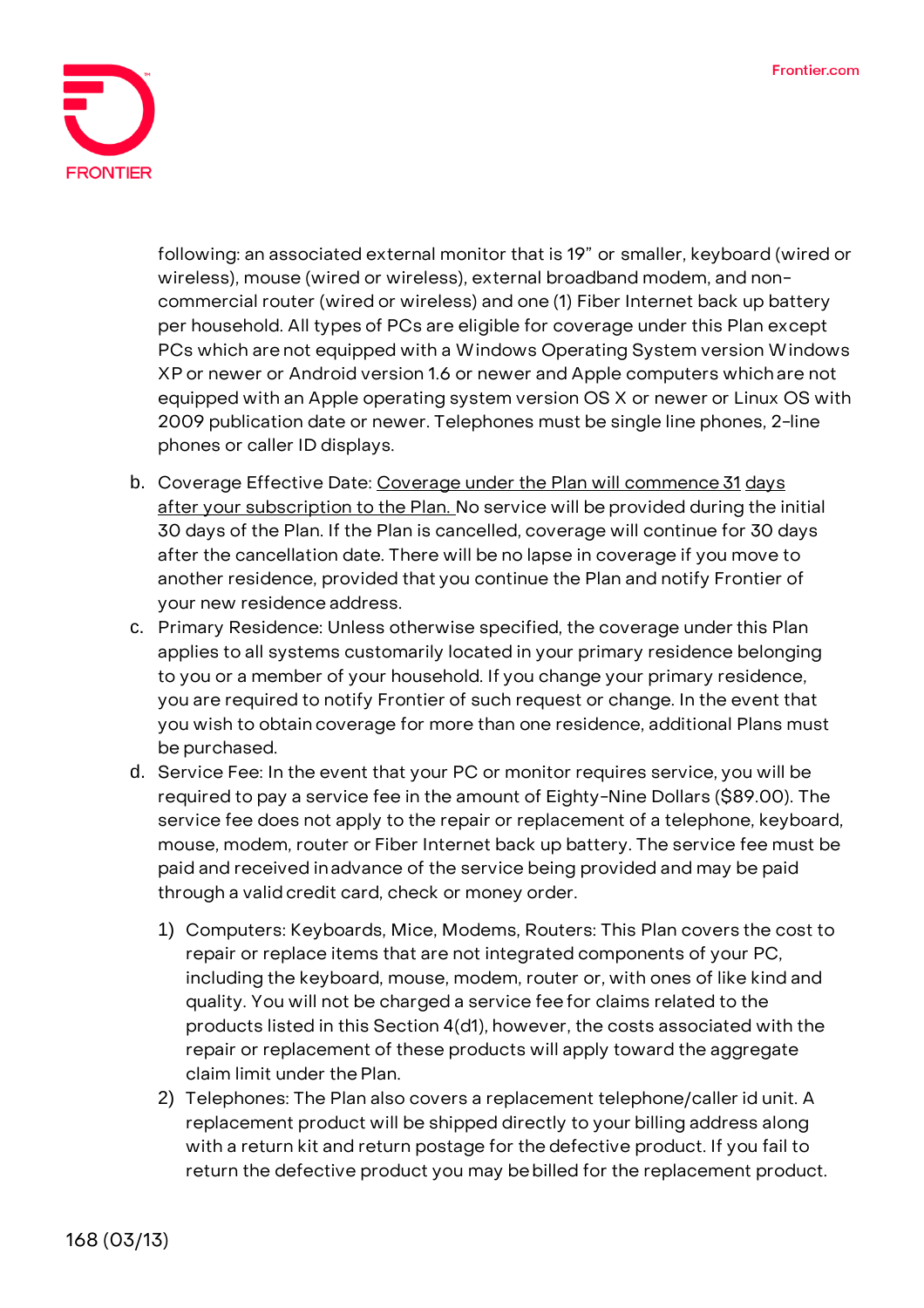

following: an associated external monitor that is 19" or smaller, keyboard (wired or wireless), mouse (wired or wireless), external broadband modem, and noncommercial router (wired or wireless) and one (1) Fiber Internet back up battery per household. All types of PCs are eligible for coverage under this Plan except PCs which are not equipped with a Windows Operating System version Windows XP or newer or Android version 1.6 or newer and Apple computers which are not equipped with an Apple operating system version OS X or newer or Linux OS with 2009 publication date or newer. Telephones must be single line phones, 2-line phones or caller ID displays.

- b. Coverage Effective Date: **Coverage under the Plan will commence 31 days after your subscription to the Plan. No service will be provided during the initial 30 days of the Plan. If the Plan is cancelled, coverage will continue for 30 days after the cancellation date.** There will be no lapse in coverage if you move to another residence, provided that you continue the Plan and notify Frontier of your new residence address.
- c. Primary Residence: Unless otherwise specified, the coverage under this Plan applies to all systems customarily located in your primary residence belonging to you or a member of your household. If you change your primary residence, you are required to notify Frontier of such request or change. In the event that you wish to obtain coverage for more than one residence, additional Plans must be purchased.
- d. Service Fee: **In the event that your PC or monitor requires service, you will be required to pay a service fee in the amount of Eighty-Nine Dollars (\$89.00).** The service fee does not apply to the repair or replacement of a telephone, keyboard, mouse, modem, router or Fiber Internet back up battery. The service fee must be paid and received inadvance of the service being provided and may be paid through a validcredit card, check or money order.
	- 1) Computers: Keyboards, Mice, Modems, Routers: This Plan covers the cost to repair or replace items that are not integrated components of your PC, including the keyboard, mouse, modem, router or, with ones of like kind and quality. You will not be charged a service fee for claims related to the products listed in this Section 4(d1), however, the costs associated with the repair or replacement of these products will apply toward the aggregate claim limit under the Plan.
	- 2) Telephones: The Plan also covers a replacement telephone/caller id unit. A replacement product will be shipped directly to your billing address along with a return kit and return postage for the defective product. If you fail to return the defective product you may bebilled for the replacement product.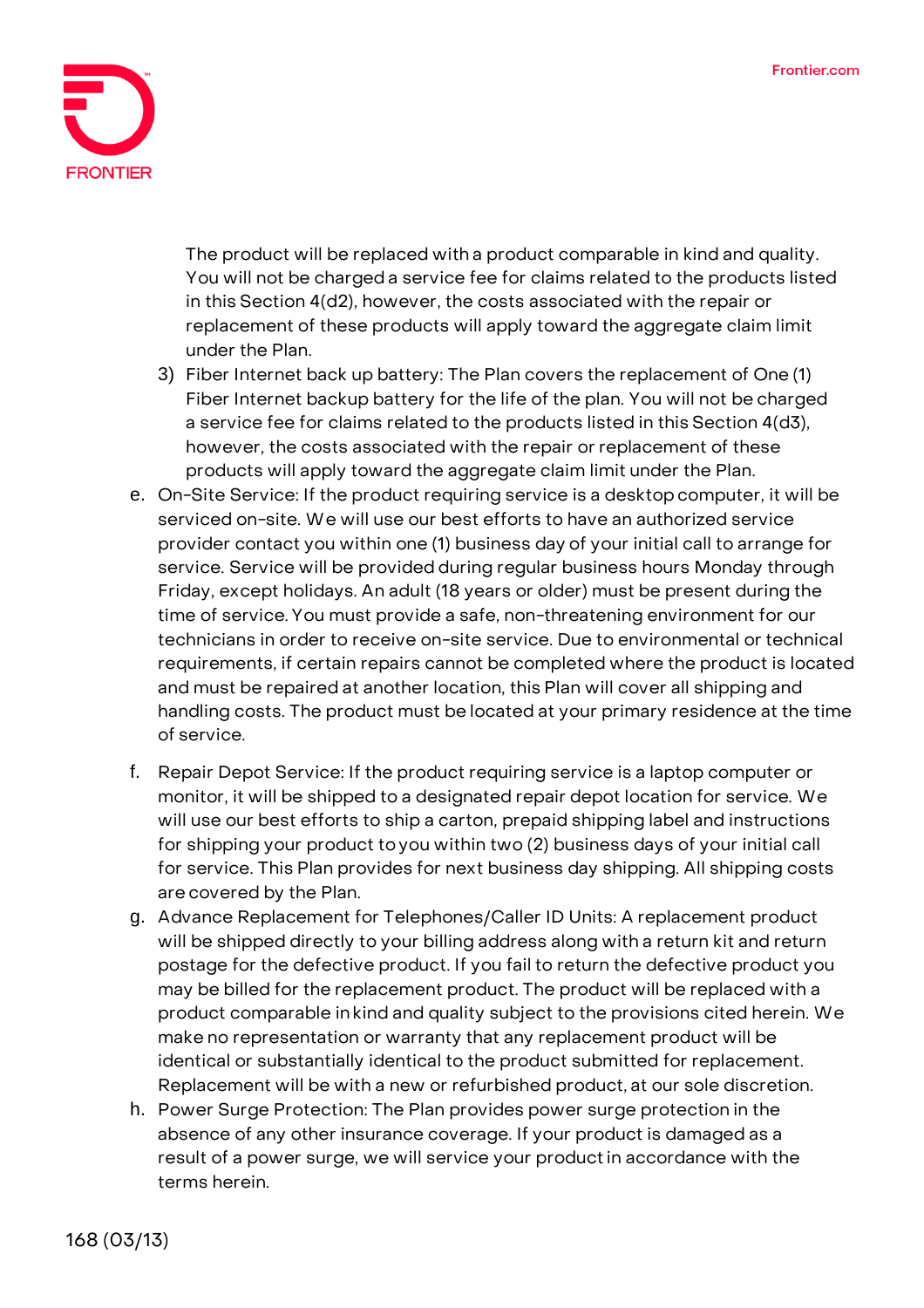

The product will be replaced with a product comparable in kind and quality. You will not be charged a service fee for claims related to the products listed in this Section 4(d2), however, the costs associated with the repair or replacement of these products will apply toward the aggregate claim limit under the Plan.

- 3) Fiber Internet back up battery: The Plan covers the replacement of One (1) Fiber Internet backup battery for the life of the plan. You will not be charged a service fee for claims related to the products listed in this Section 4(d3), however, the costs associated with the repair or replacement of these products will apply toward the aggregate claim limit under the Plan.
- e. On-Site Service: If the product requiring service is a desktopcomputer, it will be serviced on-site. We will use our best efforts to have an authorized service provider contact you within one (1) business day of your initial call to arrange for service. Service will be provided during regular business hours Monday through Friday, except holidays. An adult (18 years or older) must be present during the time of service. You must provide a safe, non-threatening environment for our technicians in order to receive on-site service. Due to environmental or technical requirements, if certain repairs cannot be completed where the product is located and must be repaired at another location, this Plan will cover all shipping and handling costs. The product must be located at your primary residence at the time of service.
- f. Repair Depot Service: If the product requiring service is a laptop computer or monitor, it will be shipped to a designated repair depot location for service. We will use our best efforts to ship a carton, prepaid shipping label and instructions for shipping your product toyou within two (2) business days of your initial call for service. This Plan provides for next business day shipping. All shipping costs are covered by the Plan.
- g. Advance Replacement for Telephones/Caller ID Units: A replacement product will be shipped directly to your billing address along with a return kit and return postage for the defective product. If you fail to return the defective product you may be billed for the replacement product. The product will be replaced with a product comparable inkind and quality subject to the provisions cited herein. We make no representation or warranty that any replacement product will be identical or substantially identical to the product submitted for replacement. Replacement will be with a new or refurbished product, at our sole discretion.
- h. Power Surge Protection: The Plan provides power surge protection in the absence of any other insurance coverage. If your product is damaged as a result of a power surge, we will service your productin accordance with the terms herein.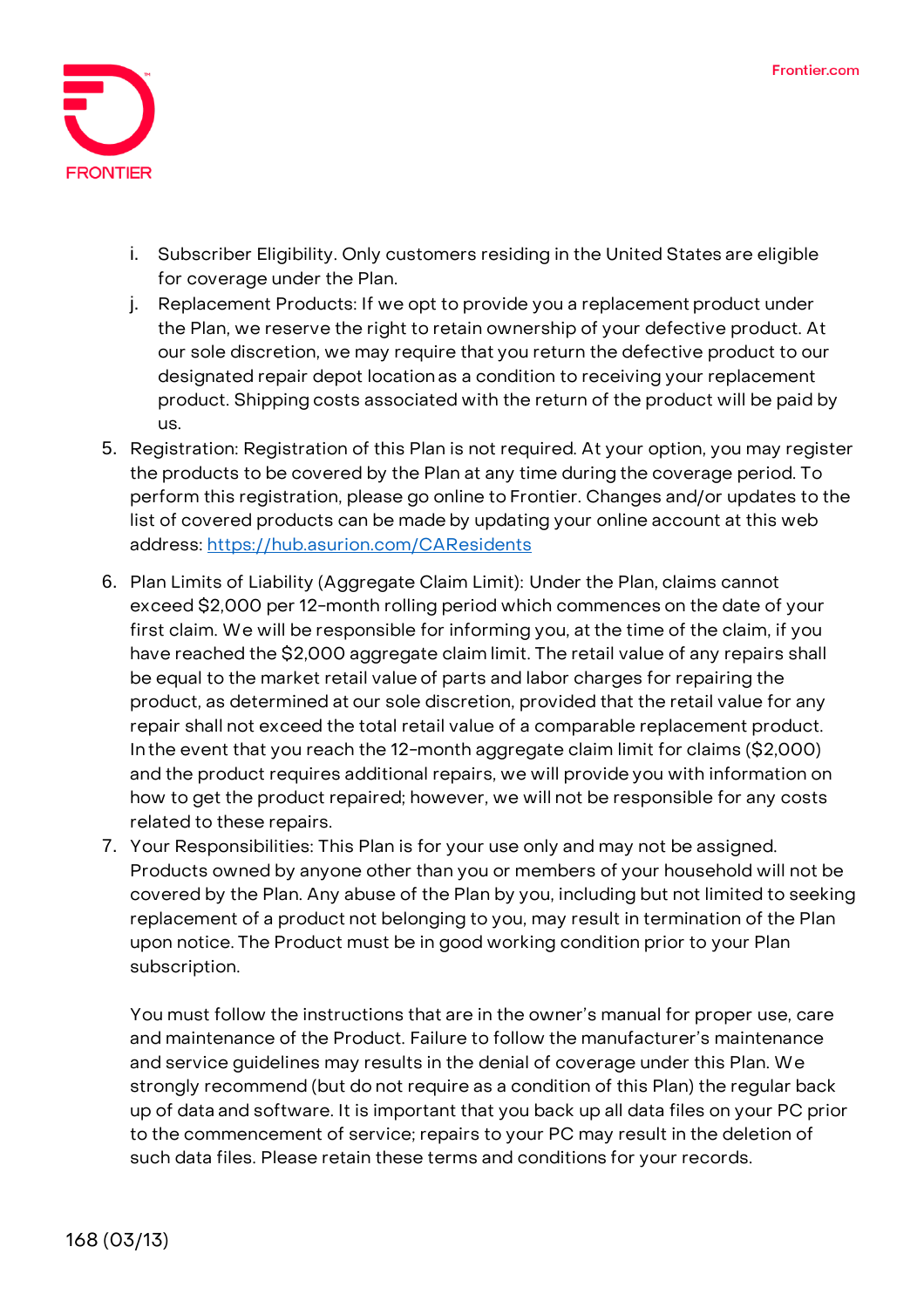

- i. Subscriber Eligibility. Only customers residing in the United States are eligible for coverage under the Plan.
- j. Replacement Products: If we opt to provide you a replacement product under the Plan, we reserve the right to retain ownership of your defective product. At our sole discretion, we may require that you return the defective product to our designated repair depot location as a condition to receiving your replacement product. Shipping costs associated with the return of the product will be paid by us.
- 5. **Registration:** Registration of this Plan is not required. At your option, you may register the products to be covered by the Plan at any time during the coverage period. To perform this registration, please go online to Frontier. Changes and/or updates to the list of covered products can be made by updating your online account at this web address:<https://hub.asurion.com/CAResidents>
- 6. **Plan Limits of Liability (Aggregate Claim Limit):** Under the Plan, claims cannot exceed \$2,000 per 12-month rolling period which commences on the date of your first claim. We will be responsible for informing you, at the time of the claim, if you have reached the \$2,000 aggregate claim limit. The retail value of any repairs shall be equal to the market retail value of parts and labor charges for repairing the product, as determined at our sole discretion, provided that the retail value for any repair shall not exceed the total retail value of a comparable replacement product. Inthe event that you reach the 12-month aggregate claim limit for claims (\$2,000) and the product requires additional repairs, we will provide you with information on how to get the product repaired; however, we will not be responsible for any costs related to these repairs.
- 7. **Your Responsibilities:** This Plan is for your use only and may not be assigned. Products owned by anyone other than you or members of your household will not be covered by the Plan. Any abuse of the Plan by you, including but not limited to seeking replacement of a product not belonging to you, may result in termination of the Plan upon notice. The Product must be in good working condition prior to your Plan subscription.

You must follow the instructions that are in the owner's manual for proper use, care and maintenance of the Product. Failure to follow the manufacturer's maintenance and service guidelines may results in the denial of coverage under this Plan. We strongly recommend (but do not require as a condition of this Plan) the regular back up of data and software. It is important that you back up all data files on your PC prior to the commencement of service; repairs to your PC may result in the deletion of such data files. Please retain these terms and conditions for your records.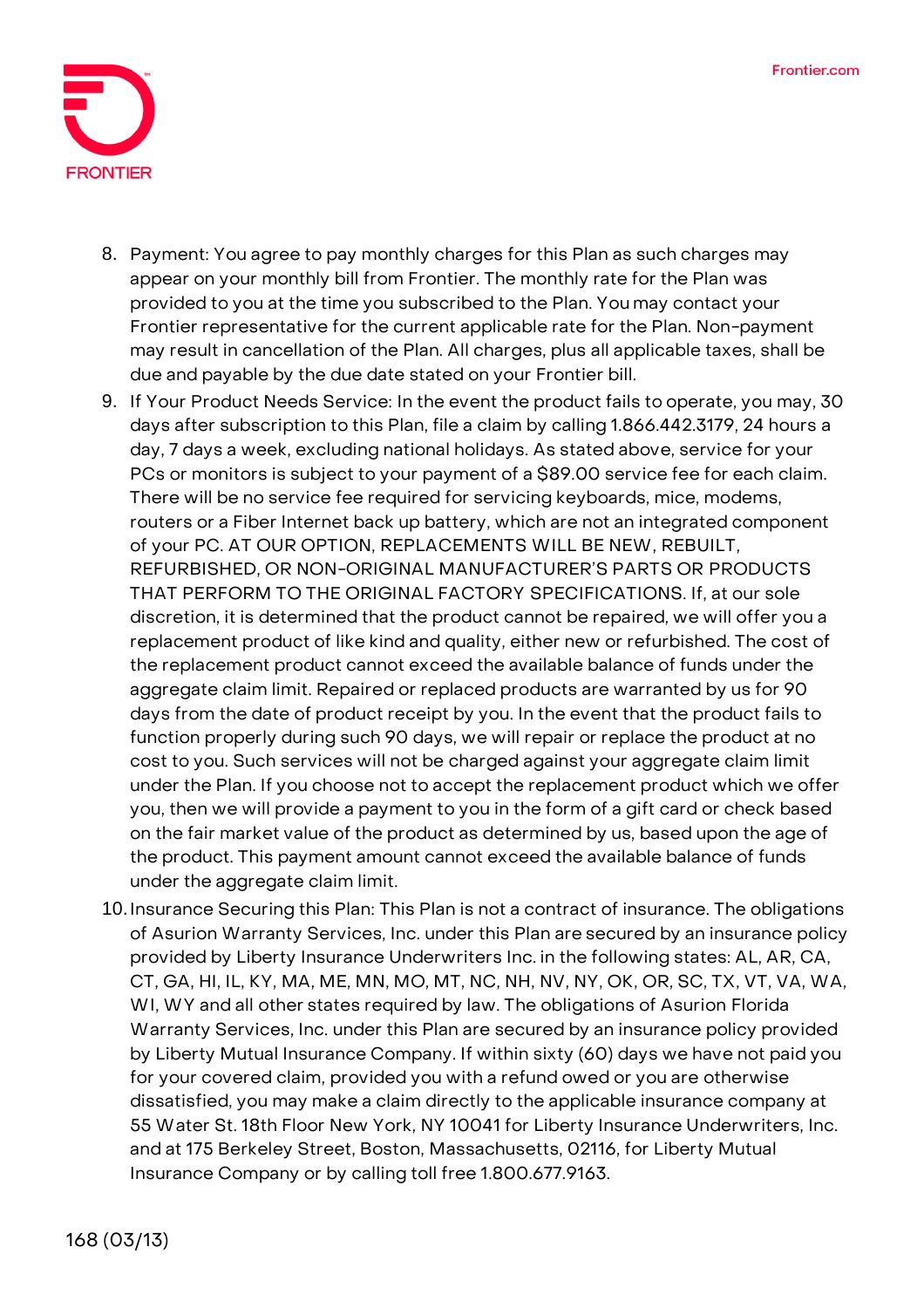

- 8. **Payment:** You agree to pay monthly charges for this Plan as such charges may appear on your monthly bill from Frontier. The monthly rate for the Plan was provided to you at the time you subscribed to the Plan. You may contact your Frontier representative for the current applicable rate for the Plan. Non-payment may result in cancellation of the Plan. All charges, plus all applicable taxes, shall be due and payable by the due date stated on your Frontier bill.
- 9. **If Your Product Needs Service:** In the event the product fails to operate, you may, 30 days after subscription to this Plan, file a claim by calling 1.866.442.3179, 24 hours a day, 7 days a week, excluding national holidays. As stated above, service for your PCs or monitors is subject to your payment of a \$89.00 service fee for each claim. There will be no service fee required for servicing keyboards, mice, modems, routers or a Fiber Internet back up battery, which are not an integrated component of your PC. **AT OUR OPTION, REPLACEMENTS WILL BE NEW, REBUILT, REFURBISHED, OR NON-ORIGINAL MANUFACTURER'S PARTS OR PRODUCTS THAT PERFORM TO THE ORIGINAL FACTORY SPECIFICATIONS.** If, at our sole discretion, it is determined that the product cannot be repaired, we will offer you a replacement product of like kind and quality, either new or refurbished. The cost of the replacement product cannot exceed the available balance of funds under the aggregate claim limit. Repaired or replaced products are warranted by us for 90 days from the date of product receipt by you. In the event that the product fails to function properly during such 90 days, we will repair or replace the product at no cost to you. Such services will not be charged against your aggregate claim limit under the Plan. If you choose not to accept the replacement product which we offer you, then we will provide a payment to you in the form of a gift card or check based on the fair market value of the product as determined by us, based upon the age of the product. This payment amount cannot exceed the available balance of funds under the aggregate claim limit.
- 10.**Insurance Securing this Plan:** This Plan is not a contract of insurance. The obligations of Asurion Warranty Services, Inc. under this Plan are secured by an insurance policy provided by Liberty Insurance Underwriters Inc. in the following states: AL, AR, CA, CT, GA, HI, IL, KY, MA, ME, MN, MO, MT, NC, NH, NV, NY, OK, OR, SC, TX, VT, VA, WA, WI, WY and all other states required by law. The obligations of Asurion Florida Warranty Services, Inc. under this Plan are secured by an insurance policy provided by Liberty Mutual Insurance Company. If within sixty (60) days we have not paid you for your covered claim, provided you with a refund owed or you are otherwise dissatisfied, you may make a claim directly to the applicable insurance company at 55 Water St. 18th Floor New York, NY 10041 for Liberty Insurance Underwriters, Inc. and at 175 Berkeley Street, Boston, Massachusetts, 02116, for Liberty Mutual Insurance Company or by calling toll free 1.800.677.9163.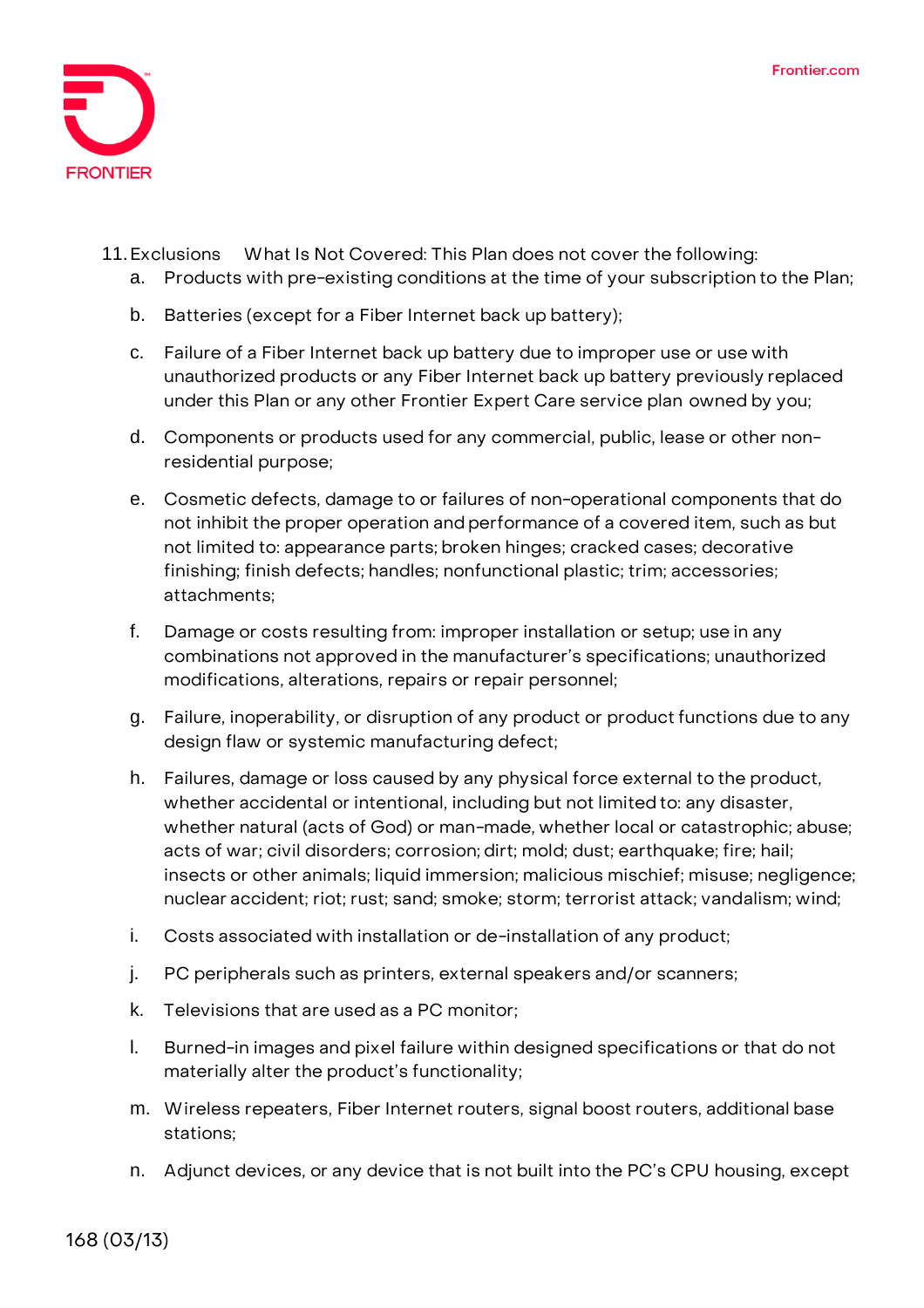

- 11.**Exclusions What Is Not Covered:** This Plan does not cover the following:
	- a. Products with pre-existing conditions at the time of your subscription to the Plan;
	- b. Batteries (except for a Fiber Internet back up battery);
	- c. Failure of a Fiber Internet back up battery due to improper use or use with unauthorized products or any Fiber Internet back up battery previously replaced under this Plan or any other Frontier Expert Care service plan owned by you;
	- d. Components or products used for any commercial, public, lease or other nonresidential purpose;
	- e. Cosmetic defects, damage to or failures of non-operational components that do not inhibit the proper operation and performance of a covered item, such as but not limited to: appearance parts; broken hinges; cracked cases; decorative finishing; finish defects; handles; nonfunctional plastic; trim; accessories; attachments;
	- f. Damage or costs resulting from: improper installation or setup; use in any combinations not approved in the manufacturer's specifications; unauthorized modifications, alterations, repairs or repair personnel;
	- g. Failure, inoperability, or disruption of any product or product functions due to any design flaw or systemic manufacturing defect;
	- h. Failures, damage or loss caused by any physical force external to the product, whether accidental or intentional, including but not limited to: any disaster, whether natural (acts of God) or man-made, whether local or catastrophic; abuse; acts of war; civil disorders; corrosion; dirt; mold; dust; earthquake; fire; hail; insects or other animals; liquid immersion; malicious mischief; misuse; negligence; nuclear accident; riot; rust; sand; smoke; storm; terrorist attack; vandalism; wind;
	- i. Costs associated with installation or de-installation of any product;
	- j. PC peripherals such as printers, external speakers and/or scanners;
	- k. Televisions that are used as a PC monitor;
	- l. Burned-in images and pixel failure within designed specifications or that do not materially alter the product's functionality;
	- m. Wireless repeaters, Fiber Internet routers, signal boost routers, additional base stations;
	- n. Adjunct devices, or any device that is not built into the PC's CPU housing, except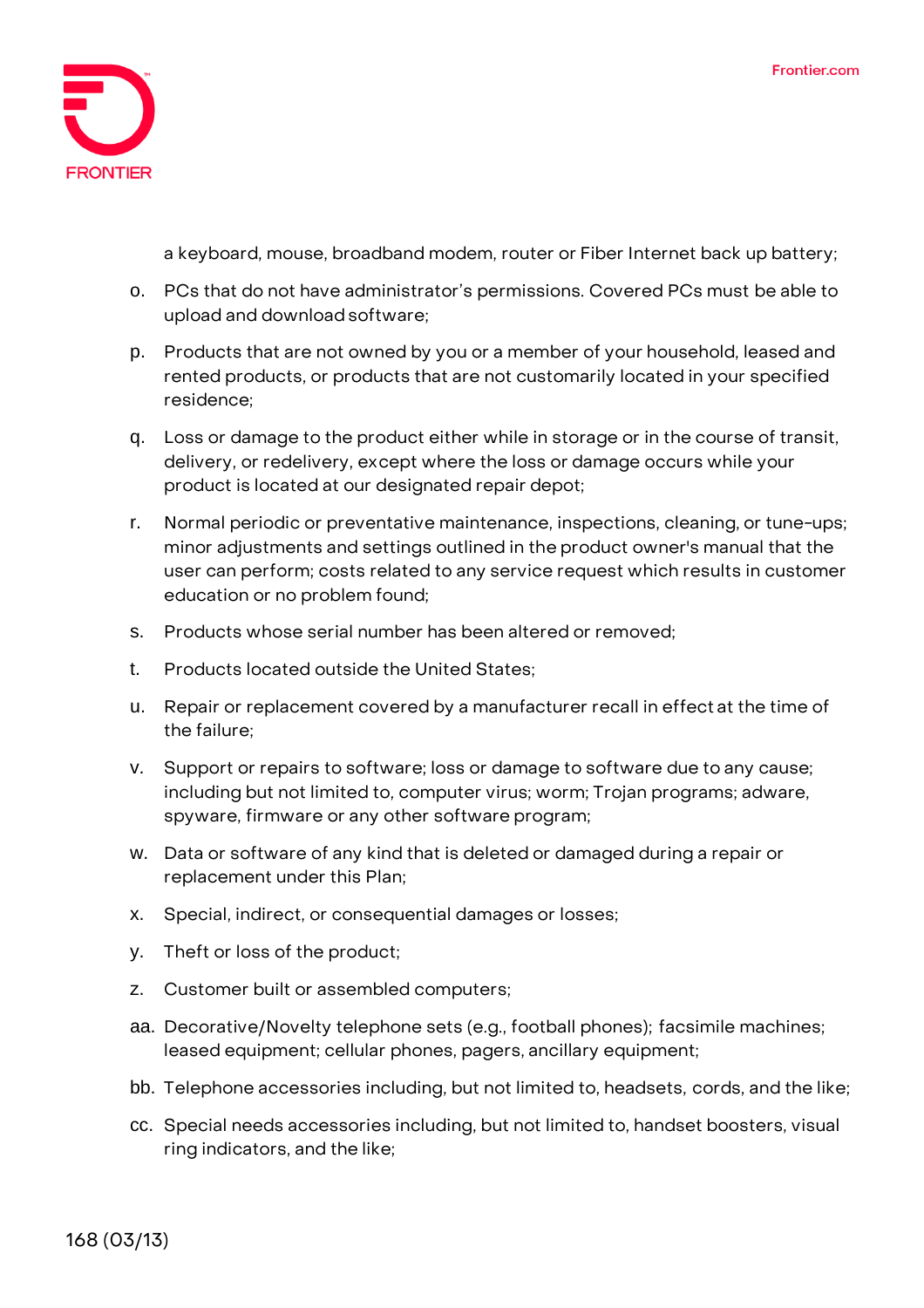

a keyboard, mouse, broadband modem, router or Fiber Internet back up battery;

- o. PCs that do not have administrator's permissions. Covered PCs must be able to upload and downloadsoftware;
- p. Products that are not owned by you or a member of your household, leased and rented products, or products that are not customarily located in your specified residence;
- q. Loss or damage to the product either while in storage or in the course of transit, delivery, or redelivery, except where the loss or damage occurs while your product is located at our designated repair depot;
- r. Normal periodic or preventative maintenance, inspections, cleaning, or tune-ups; minor adjustments and settings outlined in the product owner's manual that the user can perform; costs related to any service request which results in customer education or no problem found;
- s. Products whose serial number has been altered or removed;
- t. Products located outside the United States;
- u. Repair or replacement covered by a manufacturer recall in effect at the time of the failure;
- v. Support or repairs to software; loss or damage to software due to any cause; including but not limited to, computer virus; worm; Trojan programs; adware, spyware, firmware or any other software program;
- w. Data or software of any kind that is deleted or damaged during a repair or replacement under this Plan;
- x. Special, indirect, or consequential damages or losses;
- y. Theft or loss of the product;
- z. Customer built or assembled computers;
- aa. Decorative/Novelty telephone sets (e.g., football phones); facsimile machines; leased equipment; cellular phones, pagers, ancillary equipment;
- bb. Telephone accessories including, but not limited to, headsets, cords, and the like;
- cc. Special needs accessories including, but not limited to, handset boosters, visual ring indicators, and the like;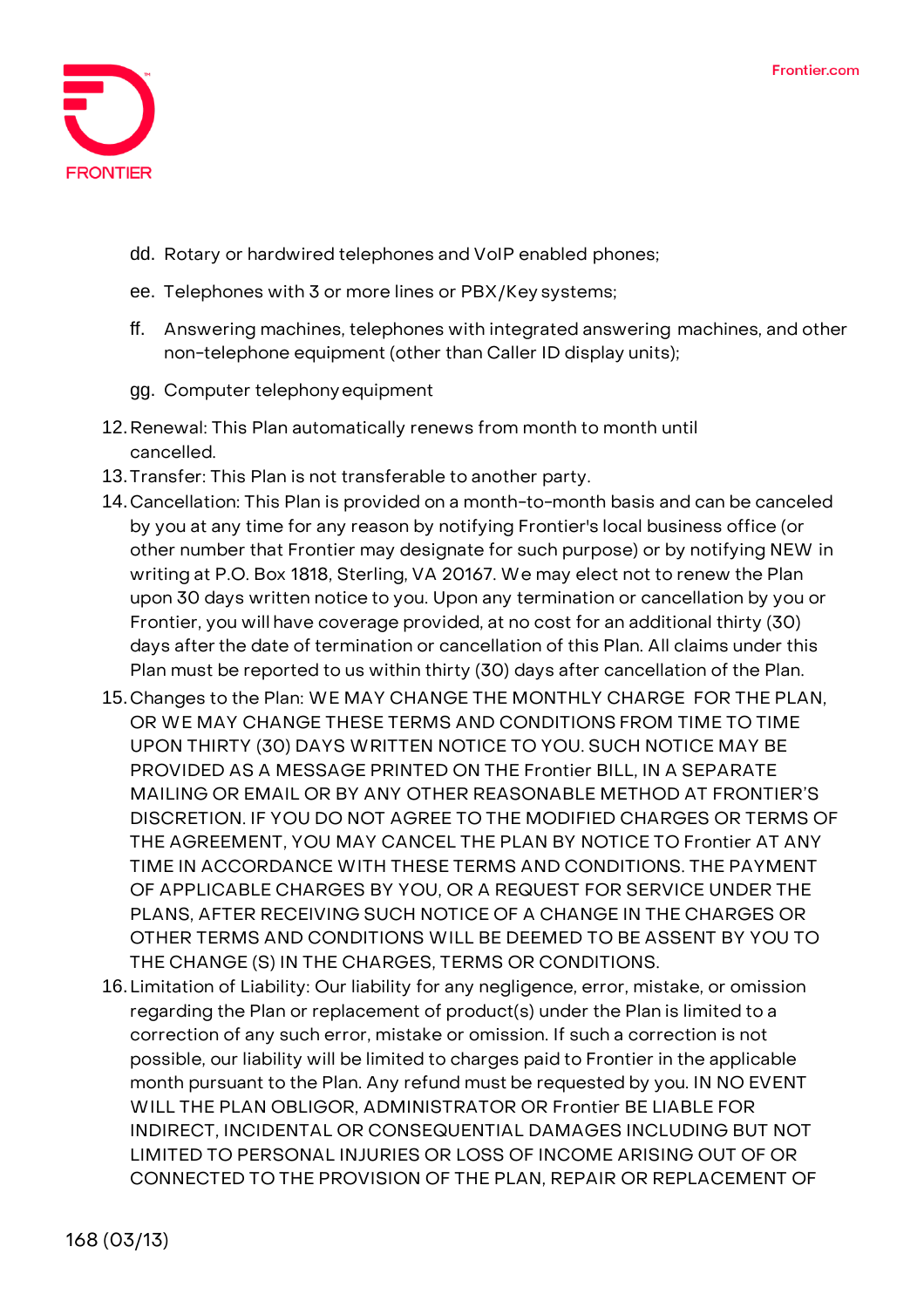

- dd. Rotary or hardwired telephones and VoIP enabled phones;
- ee. Telephones with 3 or more lines or PBX/Key systems;
- ff. Answering machines, telephones with integrated answering machines, and other non-telephone equipment (other than Caller ID display units);
- gg. Computer telephonyequipment
- 12.**Renewal:** This Plan automatically renews from month to month until cancelled.
- 13.**Transfer:** This Plan is not transferable to another party.
- 14.**Cancellation:** This Plan is provided on a month-to-month basis and can be canceled by you at any time for any reason by notifying Frontier's local business office (or other number that Frontier may designate for such purpose) or by notifying NEW in writing at P.O. Box 1818, Sterling, VA 20167. We may elect not to renew the Plan upon 30 days written notice to you. Upon any termination or cancellation by you or Frontier, you will have coverage provided, at no cost for an additional thirty (30) days after the date of termination or cancellation of this Plan. All claims under this Plan must be reported to us within thirty (30) days after cancellation of the Plan.
- 15.**Changes to the Plan:** WE MAY CHANGE THE MONTHLY CHARGE FOR THE PLAN, OR WE MAY CHANGE THESE TERMS AND CONDITIONS FROM TIME TO TIME UPON THIRTY (30) DAYS WRITTEN NOTICE TO YOU. SUCH NOTICE MAY BE PROVIDED AS A MESSAGE PRINTED ON THE Frontier BILL, IN A SEPARATE MAILING OR EMAIL OR BY ANY OTHER REASONABLE METHOD AT FRONTIER'S DISCRETION. IF YOU DO NOT AGREE TO THE MODIFIED CHARGES OR TERMS OF THE AGREEMENT, YOU MAY CANCEL THE PLAN BY NOTICE TO Frontier AT ANY TIME IN ACCORDANCE WITH THESE TERMS AND CONDITIONS. THE PAYMENT OF APPLICABLE CHARGES BY YOU, OR A REQUEST FOR SERVICE UNDER THE PLANS, AFTER RECEIVING SUCH NOTICE OF A CHANGE IN THE CHARGES OR OTHER TERMS AND CONDITIONS WILL BE DEEMED TO BE ASSENT BY YOU TO THE CHANGE (S) IN THE CHARGES, TERMS OR CONDITIONS.
- 16.**Limitation of Liability:** Our liability for any negligence, error, mistake, or omission regarding the Plan or replacement of product(s) under the Plan is limited to a correction of any such error, mistake or omission. If such a correction is not possible, our liability will be limited to charges paid to Frontier in the applicable month pursuant to the Plan. Any refund must be requested by you. IN NO EVENT WILL THE PLAN OBLIGOR, ADMINISTRATOR OR Frontier BE LIABLE FOR INDIRECT, INCIDENTAL OR CONSEQUENTIAL DAMAGES INCLUDING BUT NOT LIMITED TO PERSONAL INJURIES OR LOSS OF INCOME ARISING OUT OF OR CONNECTED TO THE PROVISION OF THE PLAN, REPAIR OR REPLACEMENT OF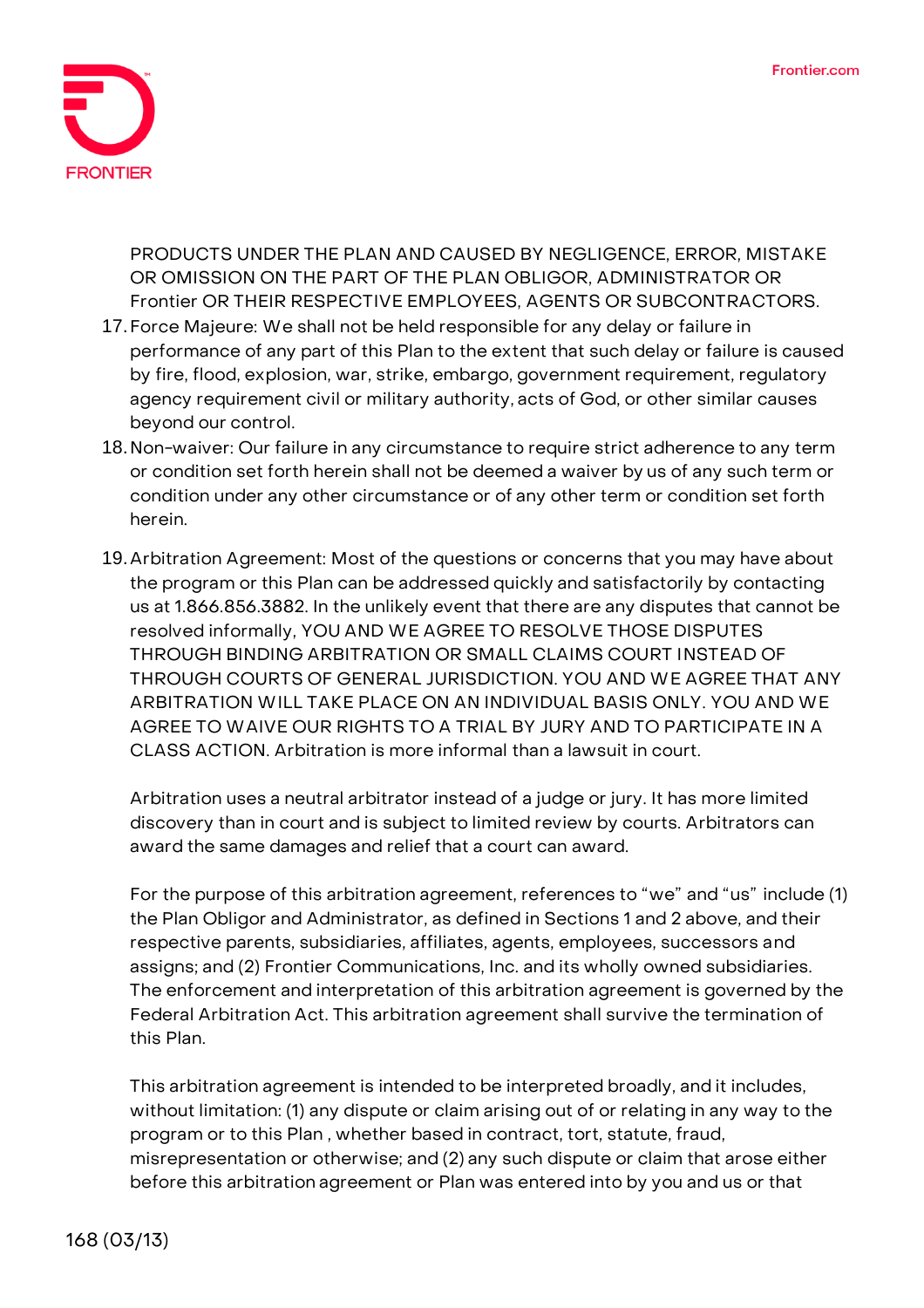

PRODUCTS UNDER THE PLAN AND CAUSED BY NEGLIGENCE, ERROR, MISTAKE OR OMISSION ON THE PART OF THE PLAN OBLIGOR, ADMINISTRATOR OR Frontier OR THEIR RESPECTIVE EMPLOYEES, AGENTS OR SUBCONTRACTORS.

- 17.**Force Majeure:** We shall not be held responsible for any delay or failure in performance of any part of this Plan to the extent that such delay or failure is caused by fire, flood, explosion, war, strike, embargo, government requirement, regulatory agency requirement civil or military authority, acts of God, or other similar causes beyond our control.
- 18.**Non-waiver:** Our failure in any circumstance to require strict adherence to any term or condition set forth herein shall not be deemed a waiver by us of any such term or condition under any other circumstance or of any other term or condition set forth herein.
- 19.**Arbitration Agreement:** Most of the questions or concerns that you may have about the program or this Plan can be addressed quickly and satisfactorily by contacting us at 1.866.856.3882. In the unlikely event that there are any disputes that cannot be resolved informally, **YOU AND WE AGREE TO RESOLVE THOSE DISPUTES THROUGH BINDING ARBITRATION OR SMALL CLAIMS COURT INSTEAD OF THROUGH COURTS OF GENERAL JURISDICTION. YOU AND WE AGREE THAT ANY ARBITRATION WILL TAKE PLACE ON AN INDIVIDUAL BASIS ONLY. YOU AND WE AGREE TO WAIVE OUR RIGHTS TO A TRIAL BY JURY AND TO PARTICIPATE IN A CLASS ACTION.** Arbitration is more informal than a lawsuit in court.

Arbitration uses a neutral arbitrator instead of a judge or jury. It has more limited discovery than in court and is subject to limited review by courts. Arbitrators can award the same damages and relief that a court can award.

For the purpose of this arbitration agreement, references to "we" and "us" include (1) the Plan Obligor and Administrator, as defined in Sections 1 and 2 above, and their respective parents, subsidiaries, affiliates, agents, employees, successors and assigns; and (2) Frontier Communications, Inc. and its wholly owned subsidiaries. The enforcement and interpretation of this arbitration agreement is governed by the Federal Arbitration Act. This arbitration agreement shall survive the termination of this Plan.

This arbitration agreement is intended to be interpreted broadly, and it includes, without limitation: (1) any dispute or claim arising out of or relating in any way to the program or to this Plan , whether based in contract, tort, statute, fraud, misrepresentation or otherwise; and (2) any such dispute or claim that arose either before this arbitration agreement or Plan was entered into by you and us or that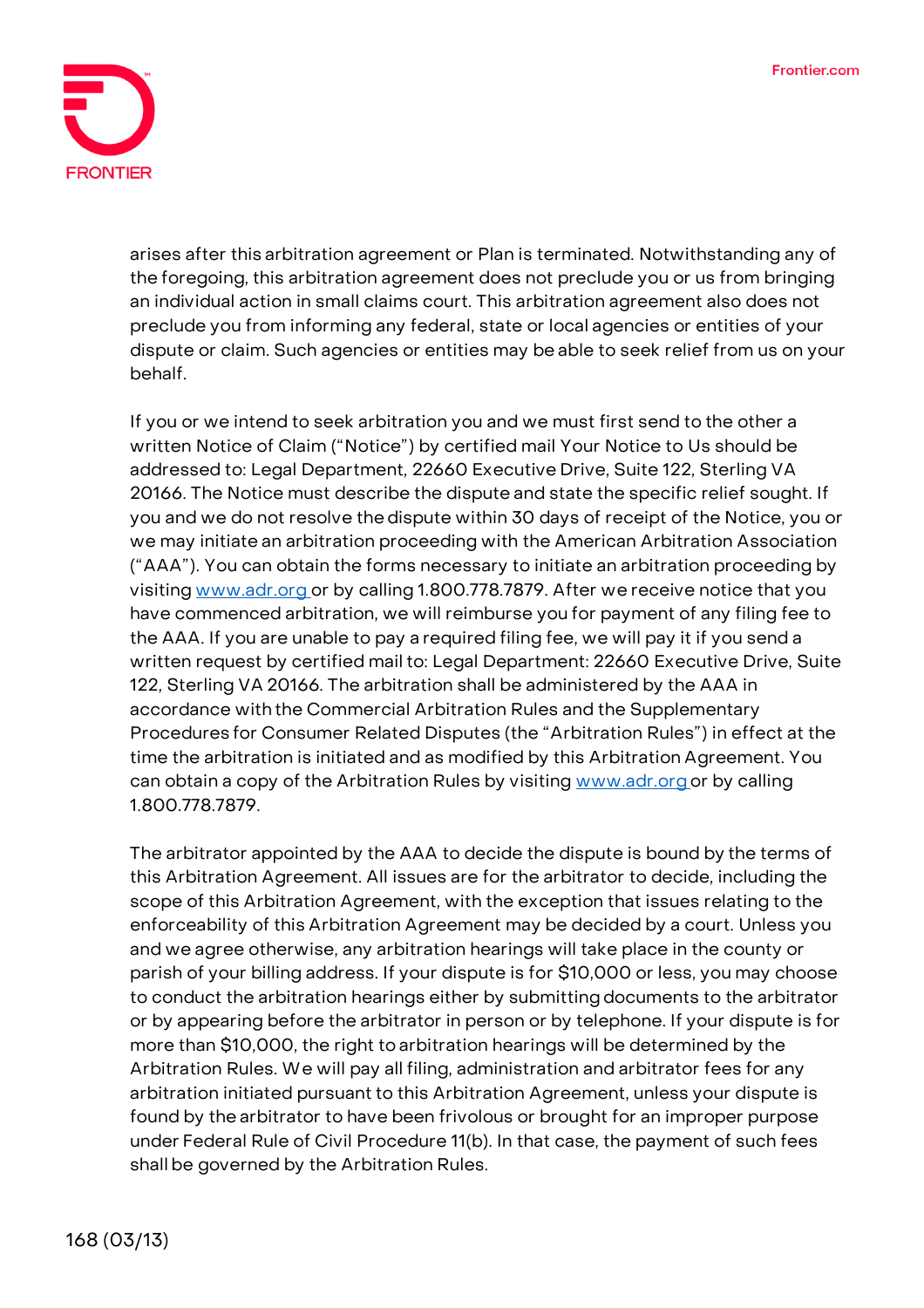

arises after this arbitration agreement or Plan is terminated. Notwithstanding any of the foregoing, this arbitration agreement does not preclude you or us from bringing an individual action in small claims court. This arbitration agreement also does not preclude you from informing any federal, state or local agencies or entities of your dispute or claim. Such agencies or entities may be able to seek relief from us on your behalf.

If you or we intend to seek arbitration you and we must first send to the other a written Notice of Claim ("Notice") by certified mail Your Notice to Us should be addressed to: Legal Department, 22660 Executive Drive, Suite 122, Sterling VA 20166. The Notice must describe the dispute and state the specific relief sought. If you and we do not resolve thedispute within 30 days of receipt of the Notice, you or we may initiate an arbitration proceeding with the American Arbitration Association ("AAA"). You can obtain the forms necessary to initiate an arbitration proceeding by visiting [www.adr.org o](http://www.adr.org/)r by calling 1.800.778.7879. After we receive notice that you have commenced arbitration, we will reimburse you for payment of any filing fee to the AAA. If you are unable to pay a required filing fee, we will pay it if you send a written request by certified mail to: Legal Department: 22660 Executive Drive, Suite 122, Sterling VA 20166. The arbitration shall be administered by the AAA in accordance with the Commercial Arbitration Rules and the Supplementary Procedures for Consumer Related Disputes (the "Arbitration Rules") in effect at the time the arbitration is initiated and as modified by this Arbitration Agreement. You can obtain a copy of the Arbitration Rules by visiting [www.adr.org](http://www.adr.org/) or by calling 1.800.778.7879.

The arbitrator appointed by the AAA to decide the dispute is bound by the terms of this Arbitration Agreement. All issues are for the arbitrator to decide, including the scope of this Arbitration Agreement, with the exception that issues relating to the enforceability of this Arbitration Agreement may be decided by a court. Unless you and we agree otherwise, any arbitration hearings will take place in the county or parish of your billing address. If your dispute is for \$10,000 or less, you may choose to conduct the arbitration hearings either by submitting documents to the arbitrator or by appearing before the arbitrator in person or by telephone. If your dispute is for more than \$10,000, the right to arbitration hearings will be determined by the Arbitration Rules. We will pay all filing, administration and arbitrator fees for any arbitration initiated pursuant to this Arbitration Agreement, unless your dispute is found by the arbitrator to have been frivolous or brought for an improper purpose under Federal Rule of Civil Procedure 11(b). In that case, the payment of such fees shall be governed by the Arbitration Rules.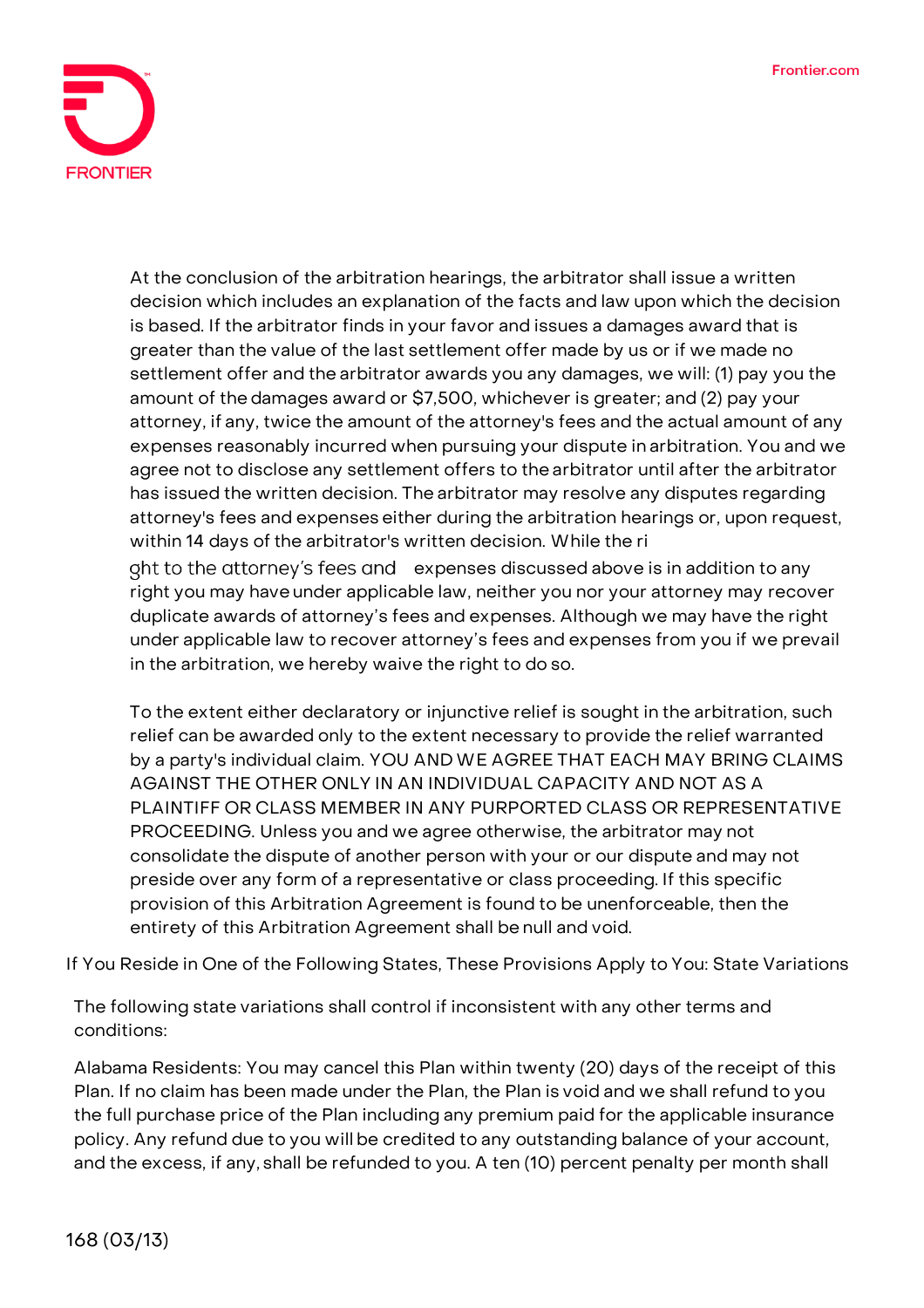

At the conclusion of the arbitration hearings, the arbitrator shall issue a written decision which includes an explanation of the facts and law upon which the decision is based. If the arbitrator finds in your favor and issues a damages award that is greater than the value of the last settlement offer made by us or if we made no settlement offer and the arbitrator awards you any damages, we will: (1) pay you the amount of the damages award or \$7,500, whichever is greater; and (2) pay your attorney, if any, twice the amount of the attorney's fees and the actual amount of any expenses reasonably incurred when pursuing your dispute in arbitration. You and we agree not to disclose any settlement offers to the arbitrator until after the arbitrator has issued the written decision. The arbitrator may resolve any disputes regarding attorney's fees and expenses either during the arbitration hearings or, upon request, within 14 days of the arbitrator's written decision. While the ri ght to the attorney's fees and expenses discussed above is in addition to any right you may have under applicable law, neither you nor your attorney may recover

duplicate awards of attorney's fees and expenses. Although we may have the right under applicable law to recover attorney's fees and expenses from you if we prevail in the arbitration, we hereby waive the right to do so.

To the extent either declaratory or injunctive relief is sought in the arbitration, such relief can be awarded only to the extent necessary to provide the relief warranted by a party's individual claim. **YOU AND WE AGREE THAT EACH MAY BRING CLAIMS AGAINST THE OTHER ONLY IN AN INDIVIDUAL CAPACITY AND NOT AS A PLAINTIFF OR CLASS MEMBER IN ANY PURPORTED CLASS OR REPRESENTATIVE PROCEEDING.** Unless you and we agree otherwise, the arbitrator may not consolidate the dispute of another person with your or our dispute and may not preside over any form of a representative or class proceeding. If this specific provision of this Arbitration Agreement is found to be unenforceable, then the entirety of this Arbitration Agreement shall be null and void.

**If You Reside in One of the Following States, These Provisions Apply to You: State Variations**

The following state variations shall control if inconsistent with any other terms and conditions:

**Alabama Residents:** You may cancel this Plan within twenty (20) days of the receipt of this Plan. If no claim has been made under the Plan, the Plan is void and we shall refund to you the full purchase price of the Plan including any premium paid for the applicable insurance policy. Any refund due to you will be credited to any outstanding balance of your account, and the excess, if any, shall be refunded to you. A ten (10) percent penalty per month shall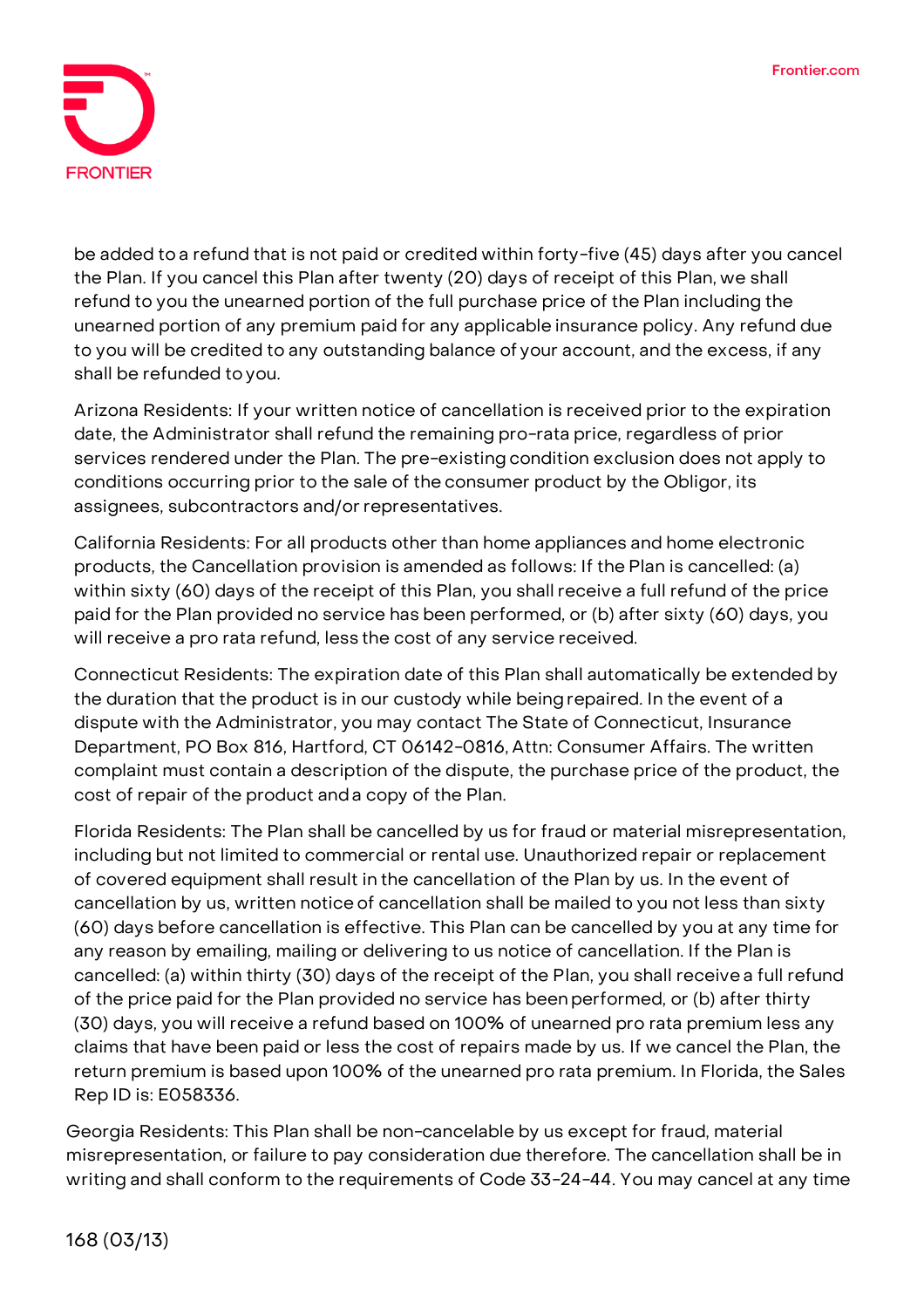

be added to a refund that is not paid or credited within forty-five (45) days after you cancel the Plan. If you cancel this Plan after twenty (20) days of receipt of this Plan, we shall refund to you the unearned portion of the full purchase price of the Plan including the unearned portion of any premium paid for any applicable insurance policy. Any refund due to you will be credited to any outstanding balance of your account, and the excess, if any shall be refunded to you.

**Arizona Residents:** If your written notice of cancellation is received prior to the expiration date, the Administrator shall refund the remaining pro-rata price, regardless of prior services rendered under the Plan. The pre-existing condition exclusion does not apply to conditions occurring prior to the sale of the consumer product by the Obligor, its assignees, subcontractors and/or representatives.

**California Residents:** For all products other than home appliances and home electronic products, the Cancellation provision is amended as follows: If the Plan is cancelled: (a) within sixty (60) days of the receipt of this Plan, you shall receive a full refund of the price paid for the Plan provided no service has been performed, or (b) after sixty (60) days, you will receive a pro rata refund, less the cost of any service received.

**Connecticut Residents:** The expiration date of this Plan shall automatically be extended by the duration that the product is in our custody while beingrepaired. In the event of a dispute with the Administrator, you may contact The State of Connecticut, Insurance Department, PO Box 816, Hartford, CT 06142-0816, Attn: Consumer Affairs. The written complaint must contain a description of the dispute, the purchase price of the product, the cost of repair of the product anda copy of the Plan.

**Florida Residents:** The Plan shall be cancelled by us for fraud or material misrepresentation, including but not limited to commercial or rental use. Unauthorized repair or replacement of covered equipment shall result in the cancellation of the Plan by us. In the event of cancellation by us, written notice of cancellation shall be mailed to you not less than sixty (60) days before cancellation is effective. This Plan can be cancelled by you at any time for any reason by emailing, mailing or delivering to us notice of cancellation. If the Plan is cancelled: (a) within thirty (30) days of the receipt of the Plan, you shall receive a full refund of the price paid for the Plan provided no service has beenperformed, or (b) after thirty (30) days, you will receive a refund based on 100% of unearned pro rata premium less any claims that have been paid or less the cost of repairs made by us. If we cancel the Plan, the return premium is based upon 100% of the unearned pro rata premium. In Florida, the Sales Rep ID is: E058336.

**Georgia Residents:** This Plan shall be non-cancelable by us except for fraud, material misrepresentation, or failure to pay consideration due therefore. The cancellation shall be in writing and shall conform to the requirements of Code 33-24-44. You may cancel at any time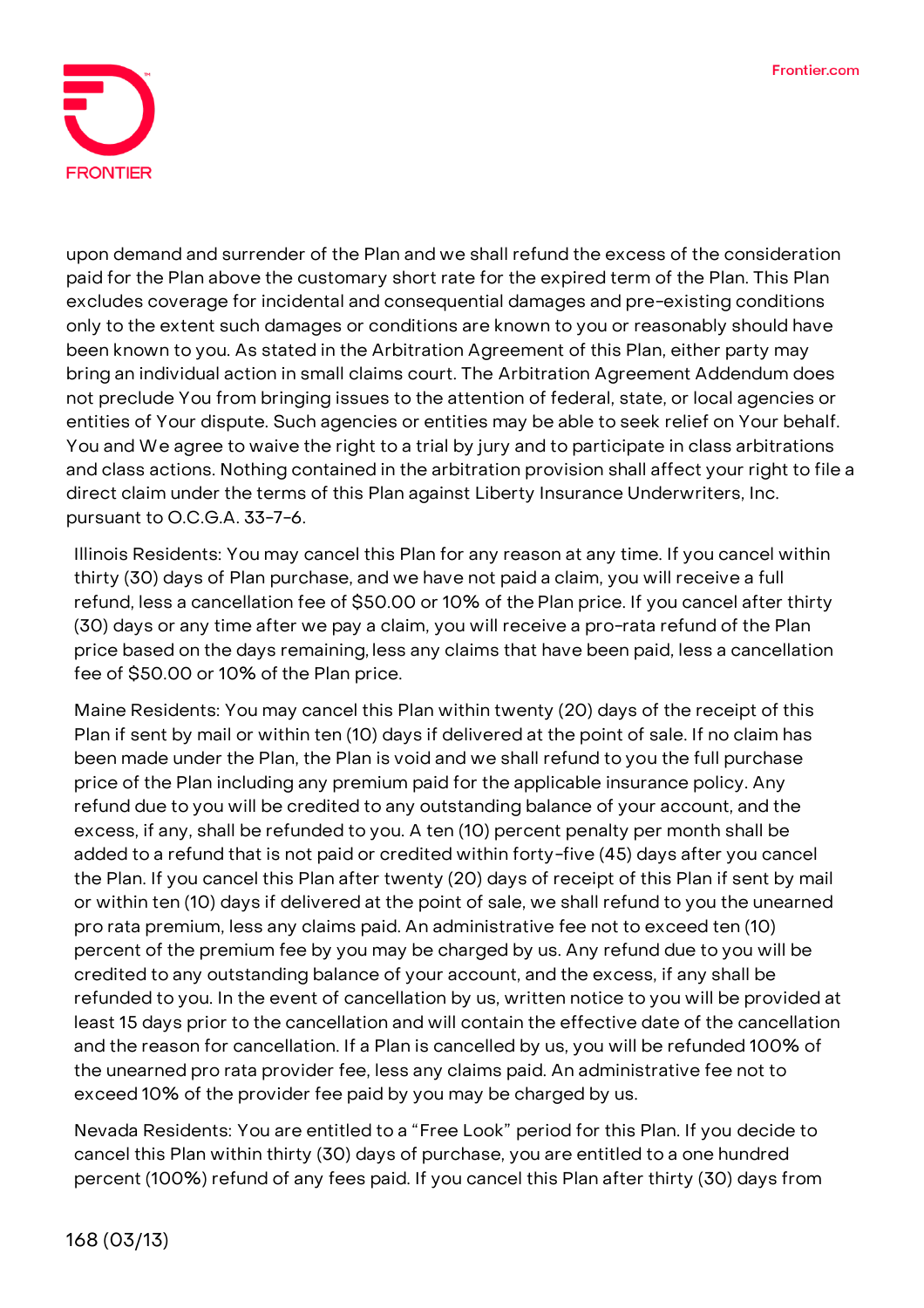

upon demand and surrender of the Plan and we shall refund the excess of the consideration paid for the Plan above the customary short rate for the expired term of the Plan. This Plan excludes coverage for incidental and consequential damages and pre-existing conditions only to the extent such damages or conditions are known to you or reasonably should have been known to you. As stated in the Arbitration Agreement of this Plan, either party may bring an individual action in small claims court. The Arbitration Agreement Addendum does not preclude You from bringing issues to the attention of federal, state, or local agencies or entities of Your dispute. Such agencies or entities may be able to seek relief on Your behalf. You and We agree to waive the right to a trial by jury and to participate in class arbitrations and class actions. Nothing contained in the arbitration provision shall affect your right to file a direct claim under the terms of this Plan against Liberty Insurance Underwriters, Inc. pursuant to O.C.G.A. 33-7-6.

**Illinois Residents:** You may cancel this Plan for any reason at any time. If you cancel within thirty (30) days of Plan purchase, and we have not paid a claim, you will receive a full refund, less a cancellation fee of \$50.00 or 10% of the Plan price. If you cancel after thirty (30) days or any time after we pay a claim, you will receive a pro-rata refund of the Plan price based on the days remaining, less any claims that have been paid, less a cancellation fee of \$50.00 or 10% of the Plan price.

**Maine Residents:** You may cancel this Plan within twenty (20) days of the receipt of this Plan if sent by mail or within ten (10) days if delivered at the point of sale. If no claim has been made under the Plan, the Plan is void and we shall refund to you the full purchase price of the Plan including any premium paid for the applicable insurance policy. Any refund due to you will be credited to any outstanding balance of your account, and the excess, if any, shall be refunded to you. A ten (10) percent penalty per month shall be added to a refund that is not paid or credited within forty-five (45) days after you cancel the Plan. If you cancel this Plan after twenty (20) days of receipt of this Plan if sent by mail or within ten (10) days if delivered at the point of sale, we shall refund to you the unearned pro rata premium, less any claims paid. An administrative fee not to exceed ten (10) percent of the premium fee by you may be charged by us. Any refund due to you will be credited to any outstanding balance of your account, and the excess, if any shall be refunded to you. In the event of cancellation by us, written notice to you will be provided at least 15 days prior to the cancellation and will contain the effective date of the cancellation and the reason for cancellation. If a Plan is cancelled by us, you will be refunded 100% of the unearned pro rata provider fee, less any claims paid. An administrative fee not to exceed 10% of the provider fee paid by you may be charged by us.

**Nevada Residents:** You are entitled to a "Free Look" period for this Plan. If you decide to cancel this Plan within thirty (30) days of purchase, you are entitled to a one hundred percent (100%) refund of any fees paid. If you cancel this Plan after thirty (30) days from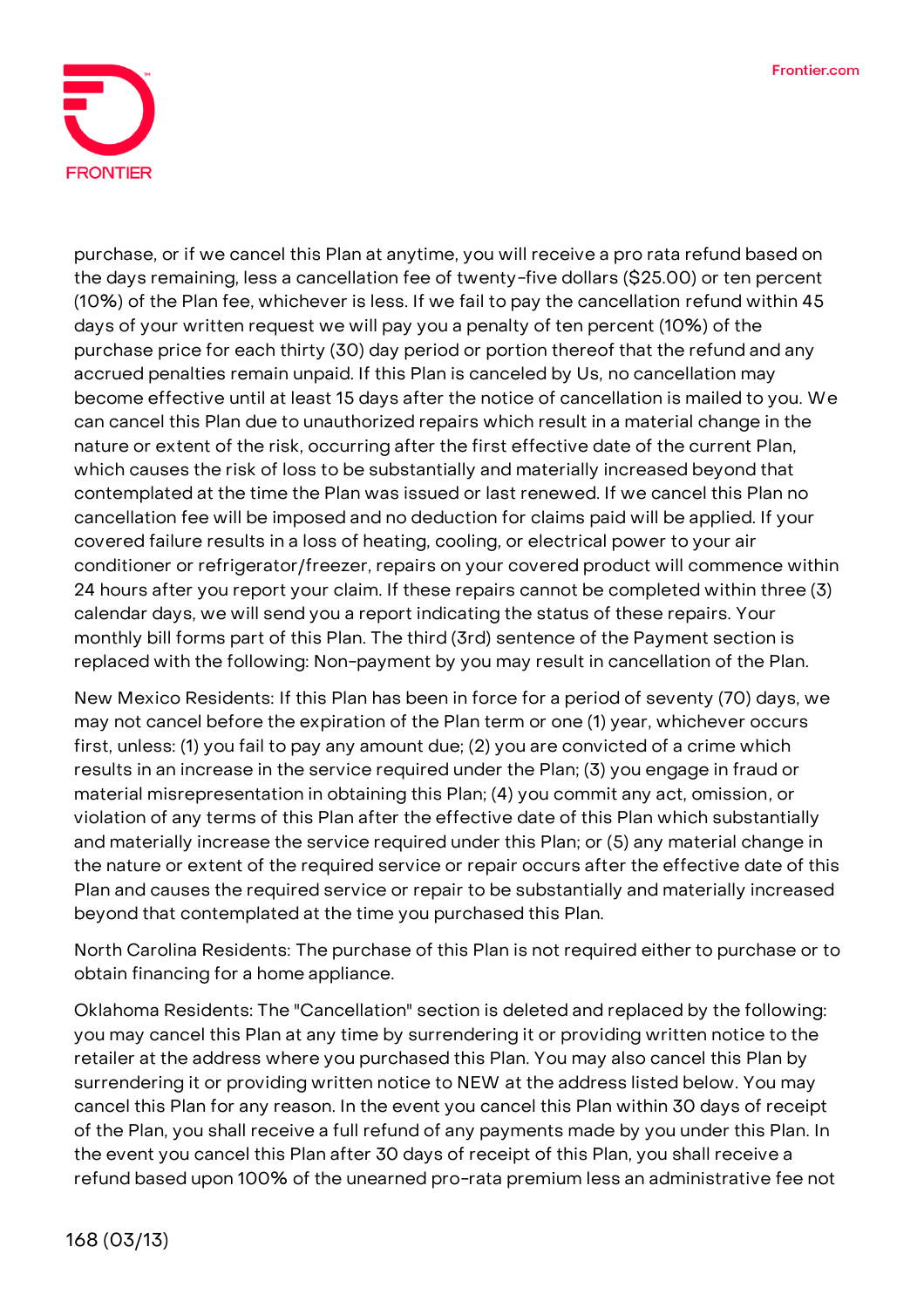

purchase, or if we cancel this Plan at anytime, you will receive a pro rata refund based on the days remaining, less a cancellation fee of twenty-five dollars (\$25.00) or ten percent (10%) of the Plan fee, whichever is less. If we fail to pay the cancellation refund within 45 days of your written request we will pay you a penalty of ten percent (10%) of the purchase price for each thirty (30) day period or portion thereof that the refund and any accrued penalties remain unpaid. If this Plan is canceled by Us, no cancellation may become effective until at least 15 days after the notice of cancellation is mailed to you. We can cancel this Plan due to unauthorized repairs which result in a material change in the nature or extent of the risk, occurring after the first effective date of the current Plan, which causes the risk of loss to be substantially and materially increased beyond that contemplated at the time the Plan was issued or last renewed. If we cancel this Plan no cancellation fee will be imposed and no deduction for claims paid will be applied. If your covered failure results in a loss of heating, cooling, or electrical power to your air conditioner or refrigerator/freezer, repairs on your covered product will commence within 24 hours after you report your claim. If these repairs cannot be completed within three (3) calendar days, we will send you a report indicating the status of these repairs. Your monthly bill forms part of this Plan. The third (3rd) sentence of the Payment section is replaced with the following: Non-payment by you may result in cancellation of the Plan.

**New Mexico Residents:** If this Plan has been in force for a period of seventy (70) days, we may not cancel before the expiration of the Plan term or one (1) year, whichever occurs first, unless: (1) you fail to pay any amount due; (2) you are convicted of a crime which results in an increase in the service required under the Plan; (3) you engage in fraud or material misrepresentation in obtaining this Plan; (4) you commit any act, omission, or violation of any terms of this Plan after the effective date of this Plan which substantially and materially increase the service required under this Plan; or (5) any material change in the nature or extent of the required service or repair occurs after the effective date of this Plan and causes the required service or repair to be substantially and materially increased beyond that contemplated at the time you purchased this Plan.

**North Carolina Residents:** The purchase of this Plan is not required either to purchase or to obtain financing for a home appliance.

**Oklahoma Residents:** The "Cancellation" section is deleted and replaced by the following: you may cancel this Plan at any time by surrendering it or providing written notice to the retailer at the address where you purchased this Plan. You may also cancel this Plan by surrendering it or providing written notice to NEW at the address listed below. You may cancel this Plan for any reason. In the event you cancel this Plan within 30 days of receipt of the Plan, you shall receive a full refund of any payments made by you under this Plan. In the event you cancel this Plan after 30 days of receipt of this Plan, you shall receive a refund based upon 100% of the unearned pro-rata premium less an administrative fee not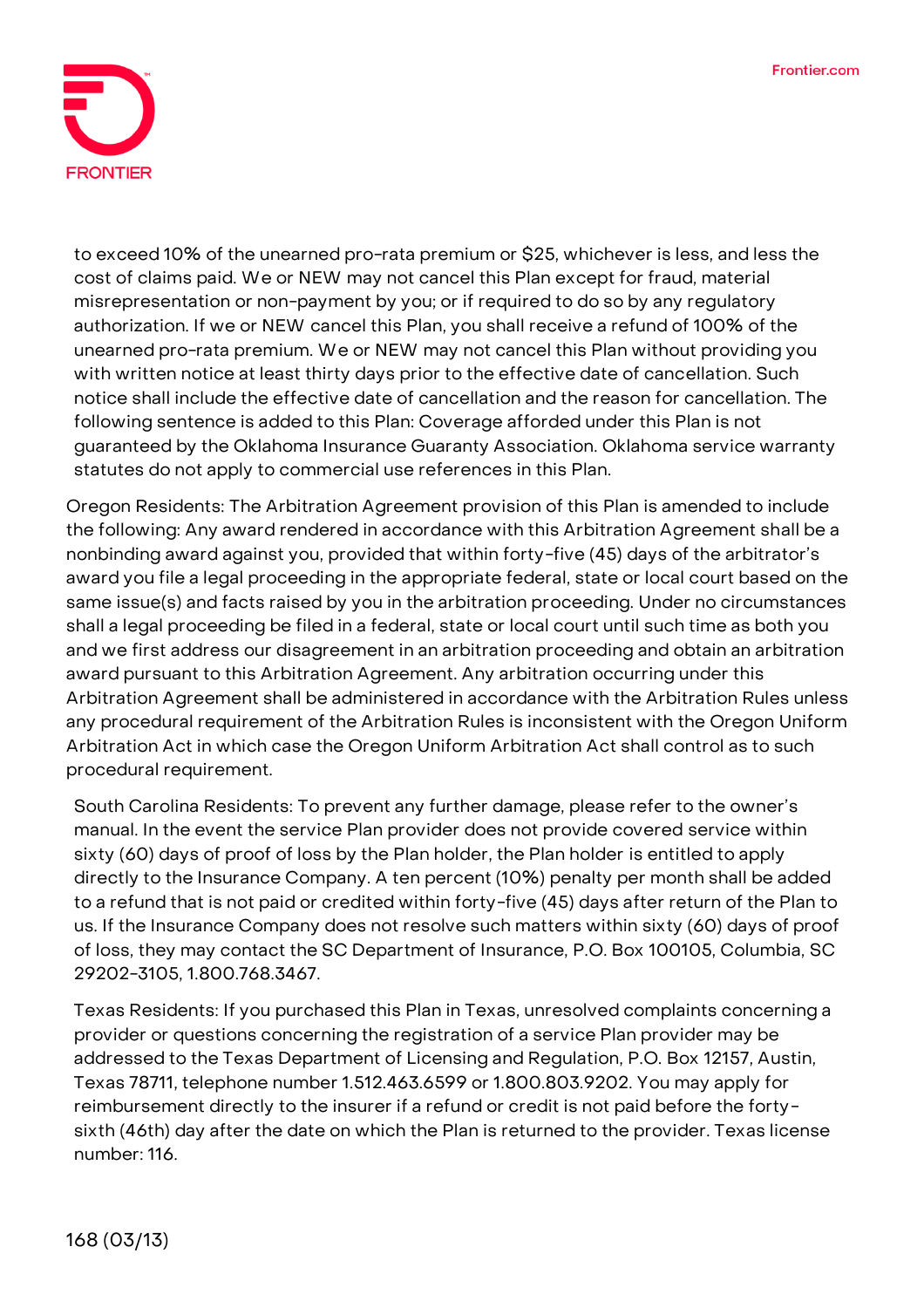

to exceed 10% of the unearned pro-rata premium or \$25, whichever is less, and less the cost of claims paid. We or NEW may not cancel this Plan except for fraud, material misrepresentation or non-payment by you; or if required to do so by any regulatory authorization. If we or NEW cancel this Plan, you shall receive a refund of 100% of the unearned pro-rata premium. We or NEW may not cancel this Plan without providing you with written notice at least thirty days prior to the effective date of cancellation. Such notice shall include the effective date of cancellation and the reason for cancellation. The following sentence is added to this Plan: Coverage afforded under this Plan is not guaranteed by the Oklahoma Insurance Guaranty Association. Oklahoma service warranty statutes do not apply to commercial use references in this Plan.

**Oregon Residents:** The Arbitration Agreement provision of this Plan is amended to include the following: Any award rendered in accordance with this Arbitration Agreement shall be a nonbinding award against you, provided that within forty-five (45) days of the arbitrator's award you file a legal proceeding in the appropriate federal, state or local court based on the same issue(s) and facts raised by you in the arbitration proceeding. Under no circumstances shall a legal proceeding be filed in a federal, state or local court until such time as both you and we first address our disagreement in an arbitration proceeding and obtain an arbitration award pursuant to this Arbitration Agreement. Any arbitration occurring under this Arbitration Agreement shall be administered in accordance with the Arbitration Rules unless any procedural requirement of the Arbitration Rules is inconsistent with the Oregon Uniform Arbitration Act in which case the Oregon Uniform Arbitration Act shall control as to such procedural requirement.

**South Carolina Residents:** To prevent any further damage, please refer to the owner's manual. In the event the service Plan provider does not provide covered service within sixty (60) days of proof of loss by the Plan holder, the Plan holder is entitled to apply directly to the Insurance Company. A ten percent (10%) penalty per month shall be added to a refund that is not paid or credited within forty-five (45) days after return of the Plan to us. If the Insurance Company does not resolve such matters within sixty (60) days of proof of loss, they may contact the SC Department of Insurance, P.O. Box 100105, Columbia, SC 29202-3105, 1.800.768.3467.

**Texas Residents:** If you purchased this Plan in Texas, unresolved complaints concerning a provider or questions concerning the registration of a service Plan provider may be addressed to the Texas Department of Licensing and Regulation, P.O. Box 12157, Austin, Texas 78711, telephone number 1.512.463.6599 or 1.800.803.9202. You may apply for reimbursement directly to the insurer if a refund or credit is not paid before the fortysixth (46th) day after the date on which the Plan is returned to the provider. Texas license number: 116.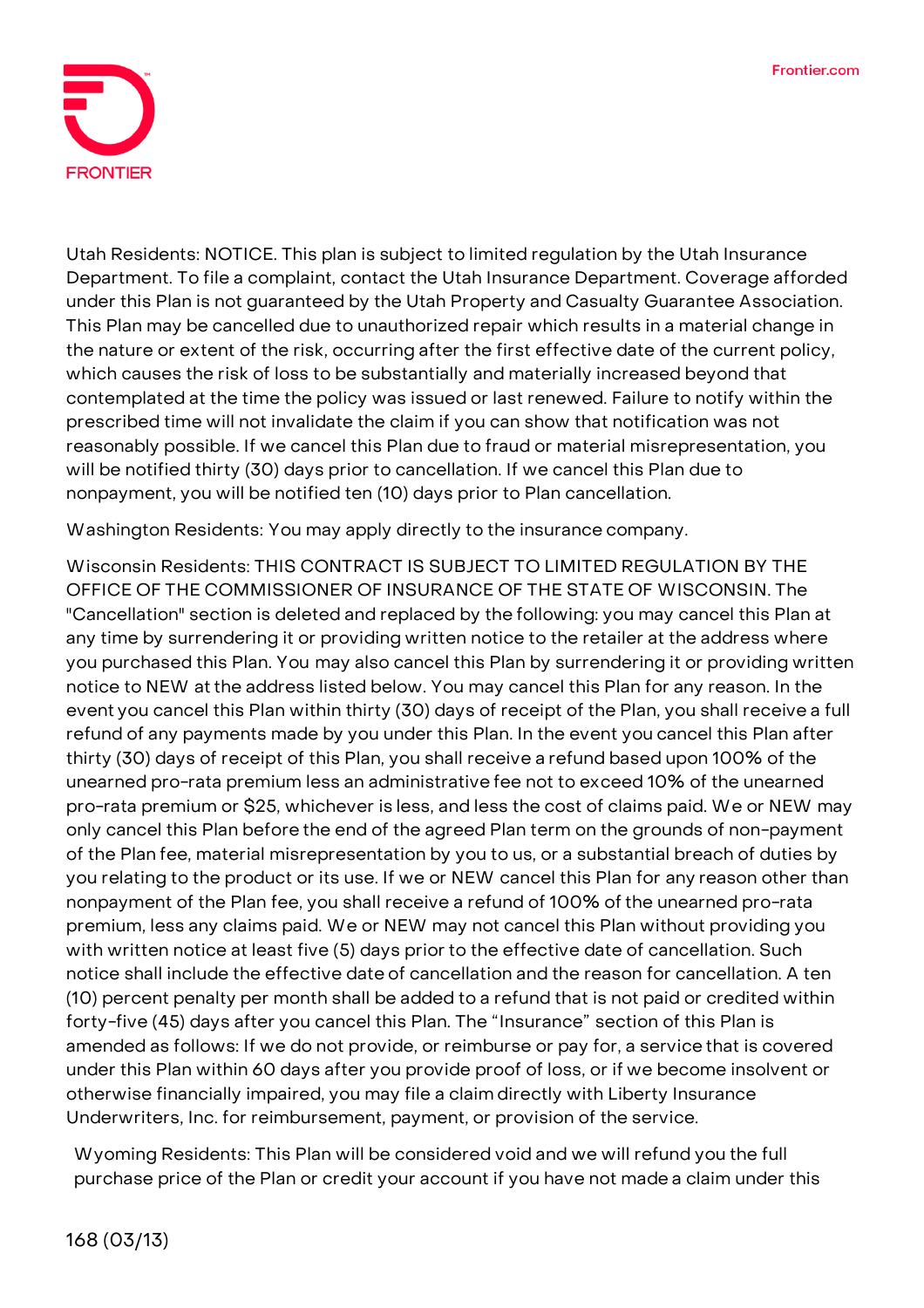

**Utah Residents: NOTICE. This plan is subject to limited regulation by the Utah Insurance Department.** To file a complaint, contact the Utah Insurance Department. Coverage afforded under this Plan is not guaranteed by the Utah Property and Casualty Guarantee Association. This Plan may be cancelled due to unauthorized repair which results in a material change in the nature or extent of the risk, occurring after the first effective date of the current policy, which causes the risk of loss to be substantially and materially increased beyond that contemplated at the time the policy was issued or last renewed. Failure to notify within the prescribed time will not invalidate the claim if you can show that notification was not reasonably possible. If we cancel this Plan due to fraud or material misrepresentation, you will be notified thirty (30) days prior to cancellation. If we cancel this Plan due to nonpayment, you will be notified ten (10) days prior to Plan cancellation.

**Washington Residents:** You may apply directly to the insurance company.

**Wisconsin Residents: THIS CONTRACT IS SUBJECT TO LIMITED REGULATION BY THE OFFICE OF THE COMMISSIONER OF INSURANCE OF THE STATE OF WISCONSIN.** The "Cancellation" section is deleted and replaced by the following: you may cancel this Plan at any time by surrendering it or providing written notice to the retailer at the address where you purchased this Plan. You may also cancel this Plan by surrendering it or providing written notice to NEW at the address listed below. You may cancel this Plan for any reason. In the event you cancel this Plan within thirty (30) days of receipt of the Plan, you shall receive a full refund of any payments made by you under this Plan. In the event you cancel this Plan after thirty (30) days of receipt of this Plan, you shall receive a refund based upon 100% of the unearned pro-rata premium less an administrative fee not to exceed 10% of the unearned pro-rata premium or \$25, whichever is less, and less the cost of claims paid. We or NEW may only cancel this Plan before the end of the agreed Plan term on the grounds of non-payment of the Plan fee, material misrepresentation by you to us, or a substantial breach of duties by you relating to the product or its use. If we or NEW cancel this Plan for any reason other than nonpayment of the Plan fee, you shall receive a refund of 100% of the unearned pro-rata premium, less any claims paid. We or NEW may not cancel this Plan without providing you with written notice at least five (5) days prior to the effective date of cancellation. Such notice shall include the effective date of cancellation and the reason for cancellation. A ten (10) percent penalty per month shall be added to a refund that is not paid or credited within forty-five (45) days after you cancel this Plan. The "Insurance" section of this Plan is amended as follows: If we do not provide, or reimburse or pay for, a service that is covered under this Plan within 60 days after you provide proof of loss, or if we become insolvent or otherwise financially impaired, you may file a claim directly with Liberty Insurance Underwriters, Inc. for reimbursement, payment, or provision of the service.

**Wyoming Residents:** This Plan will be considered void and we will refund you the full purchase price of the Plan or credit your account if you have not made a claim under this